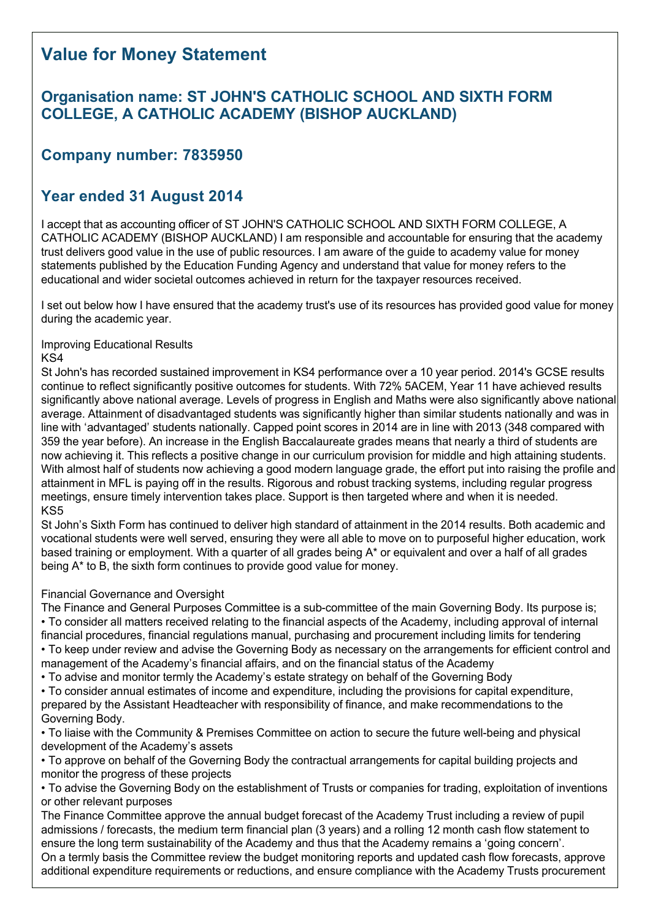# **Value for Money Statement**

## **Organisation name: ST JOHN'S CATHOLIC SCHOOL AND SIXTH FORM COLLEGE, A CATHOLIC ACADEMY (BISHOP AUCKLAND)**

## **Company number: 7835950**

## **Year ended 31 August 2014**

I accept that as accounting officer of ST JOHN'S CATHOLIC SCHOOL AND SIXTH FORM COLLEGE, A CATHOLIC ACADEMY (BISHOP AUCKLAND) I am responsible and accountable for ensuring that the academy trust delivers good value in the use of public resources. I am aware of the guide to academy value for money statements published by the Education Funding Agency and understand that value for money refers to the educational and wider societal outcomes achieved in return for the taxpayer resources received.

I set out below how I have ensured that the academy trust's use of its resources has provided good value for money during the academic year.

#### Improving Educational Results KS4

St John's has recorded sustained improvement in KS4 performance over a 10 year period. 2014's GCSE results continue to reflect significantly positive outcomes for students. With 72% 5ACEM, Year 11 have achieved results significantly above national average. Levels of progress in English and Maths were also significantly above national average. Attainment of disadvantaged students was significantly higher than similar students nationally and was in line with 'advantaged' students nationally. Capped point scores in 2014 are in line with 2013 (348 compared with 359 the year before). An increase in the English Baccalaureate grades means that nearly a third of students are now achieving it. This reflects a positive change in our curriculum provision for middle and high attaining students. With almost half of students now achieving a good modern language grade, the effort put into raising the profile and attainment in MFL is paying off in the results. Rigorous and robust tracking systems, including regular progress meetings, ensure timely intervention takes place. Support is then targeted where and when it is needed. KS5

St John's Sixth Form has continued to deliver high standard of attainment in the 2014 results. Both academic and vocational students were well served, ensuring they were all able to move on to purposeful higher education, work based training or employment. With a quarter of all grades being A<sup>\*</sup> or equivalent and over a half of all grades being A\* to B, the sixth form continues to provide good value for money.

### Financial Governance and Oversight

The Finance and General Purposes Committee is a sub-committee of the main Governing Body. Its purpose is:

- To consider all matters received relating to the financial aspects of the Academy, including approval of internal financial procedures, financial regulations manual, purchasing and procurement including limits for tendering
- To keep under review and advise the Governing Body as necessary on the arrangements for efficient control and management of the Academy's financial affairs, and on the financial status of the Academy
- To advise and monitor termly the Academy's estate strategy on behalf of the Governing Body
- To consider annual estimates of income and expenditure, including the provisions for capital expenditure, prepared by the Assistant Headteacher with responsibility of finance, and make recommendations to the Governing Body.

• To liaise with the Community & Premises Committee on action to secure the future well-being and physical development of the Academy's assets

• To approve on behalf of the Governing Body the contractual arrangements for capital building projects and monitor the progress of these projects

• To advise the Governing Body on the establishment of Trusts or companies for trading, exploitation of inventions or other relevant purposes

The Finance Committee approve the annual budget forecast of the Academy Trust including a review of pupil admissions / forecasts, the medium term financial plan (3 years) and a rolling 12 month cash flow statement to ensure the long term sustainability of the Academy and thus that the Academy remains a 'going concern'. On a termly basis the Committee review the budget monitoring reports and updated cash flow forecasts, approve additional expenditure requirements or reductions, and ensure compliance with the Academy Trusts procurement